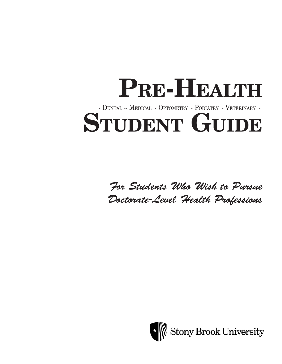# PRE-HEALTH  $\sim$  DENTAL  $\sim$  MEDICAL  $\sim$  OPTOMETRY  $\sim$  PODIATRY  $\sim$  VETERINARY  $\sim$ STUDENT GUIDE

*For Students Who Wish to Pursue Doctorate-Level Health Professions* 

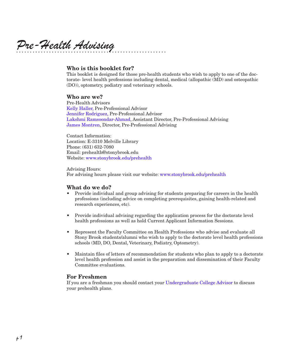*Pre-Health Advising*

#### Who is this booklet for?

This booklet is designed for those pre-health students who wish to apply to one of the doctorate- level health professions including dental, medical (allopathic (MD) and osteopathic (DO)), optometry, podiatry and veterinary schools.

#### Who are we?

Pre-Health Advisors Kelly Haller, Pre-Professional Advisor Jennifer Rodriguez, Pre-Professional Advisor Lakshmi Ramsoondar-Ahmad, Assistant Director, Pre-Professional Advising James Montren, Director, Pre-Professional Advising

Contact Information: Location: E-3310 Melville Library Phone: (631) 632-7080 Email: prehealth@stonybrook.edu Website: www.stonybrook.edu/prehealth

Advising Hours: For advising hours please visit our website: www.stonybrook.edu/prehealth

#### What do we do?

- Provide individual and group advising for students preparing for careers in the health professions (including advice on completing prerequisites, gaining health-related and research experiences, etc).
- Provide individual advising regarding the application process for the doctorate level health professions as well as hold Current Applicant Information Sessions.
- Represent the Faculty Committee on Health Professions who advise and evaluate all Stony Brook students/alumni who wish to apply to the doctorate level health professions schools (MD, DO, Dental, Veterinary, Podiatry, Optometry).
- Maintain files of letters of recommendation for students who plan to apply to a doctorate level health profession and assist in the preparation and dissemination of their Faculty Committee evaluations.

#### For Freshmen

If you are a freshman you should contact your Undergraduate College Advisor to discuss your prehealth plans.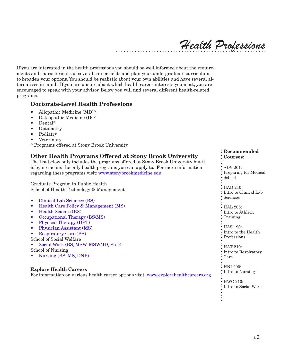*Health Professions*

If you are interested in the health professions you should be well informed about the requirements and characteristics of several career fields and plan your undergraduate curriculum to broaden your options. You should be realistic about your own abilities and have several alternatives in mind. If you are unsure about which health career interests you most, you are encouraged to speak with your advisor. Below you will find several different health-related programs.

#### Doctorate-Level Health Professions

- Allopathic Medicine (MD)\*
- Osteopathic Medicine (DO)
- Dental\*
- Optometry
- **Podiatry**
- **Veterinary**
- \* Programs offered at Stony Brook University

### Other Health Programs Offered at Stony Brook University

The list below only includes the programs offered at Stony Brook University but it is by no means the only health programs you can apply to. For more information regarding these programs visit: www.stonybrookmedicine.edu

Graduate Program in Public Health School of Health Technology & Management

- Clinical Lab Sciences (BS)
- • Health Care Policy & Management (MS)
- Health Science (BS)
- Occupational Therapy (BS/MS)
- Physical Therapy (DPT)
- Physician Assistant (MS)
- **Respiratory Care (BS)**

School of Social Welfare

Social Work (BS, MSW, MSW/JD, PhD)

School of Nursing

Nursing (BS, MS, DNP)

#### Explore Health Careers

For information on various health career options visit: www.explorehealthcareers.org

#### Recommended Courses:

ADV 201: Preparing for Medical School HAD 210: Intro to Clinical Lab Sciences : HAL 205: Intro to Athletic Training : HAS 190: Intro to the Health Professions • HAT 210: Intro to Respiratory Care HNI 290:

Intro to Nursing

HWC 210: Intro to Social Work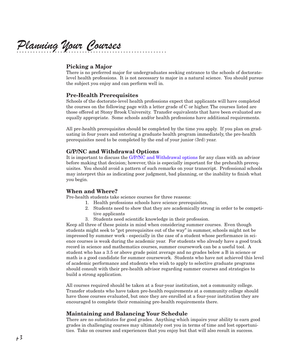*Planning Your Courses*

#### Picking a Major

There is no preferred major for undergraduates seeking entrance to the schools of doctoratelevel health professions. It is not necessary to major in a natural science. You should pursue the subject you enjoy and can perform well in.

#### Pre-Health Prerequisites

Schools of the doctorate-level health professions expect that applicants will have completed the courses on the following page with a letter grade of C or higher. The courses listed are those offered at Stony Brook University. Transfer equivalents that have been evaluated are equally appropriate. Some schools and/or health professions have additional requirements.

All pre-health prerequisites should be completed by the time you apply. If you plan on graduating in four years and entering a graduate health program immediately, the pre-health prerequisites need to be completed by the end of your junior (3rd) year.

#### G/P/NC and Withdrawal Options

It is important to discuss the G/P/NC and Withdrawal options for any class with an advisor before making that decision; however, this is especially important for the prehealth prerequisites. You should avoid a pattern of such remarks on your transcript. Professional schools may interpret this as indicating poor judgment, bad planning, or the inability to finish what you begin.

#### When and Where?

Pre-health students take science courses for three reasons:

- 1. Health professions schools have science prerequisites,
- 2. Students need to show that they are academically strong in order to be competitive applicants
- 3. Students need scientific knowledge in their profession.

Keep all three of these points in mind when considering summer courses. Even though students might seek to "get prerequisites out of the way" in summer, schools might not be impressed by summer work - especially in the case of a student whose performance in science courses is weak during the academic year. For students who already have a good track record in science and mathematics courses, summer coursework can be a useful tool. A student who has a 3.5 or above grade point average and no grades below a B in science or math is a good candidate for summer coursework. Students who have not achieved this level of academic performance and students who wish to apply to selective graduate programs should consult with their pre-health advisor regarding summer courses and strategies to build a strong application.

All courses required should be taken at a four-year institution, not a community college. Transfer students who have taken pre-health requirements at a community college should have those courses evaluated, but once they are enrolled at a four-year institution they are encouraged to complete their remaining pre-health requirements there.

#### Maintaining and Balancing Your Schedule

There are no substitutes for good grades. Anything which impairs your ability to earn good grades in challenging courses may ultimately cost you in terms of time and lost opportunities. Take on courses and experiences that you enjoy but that will also result in success.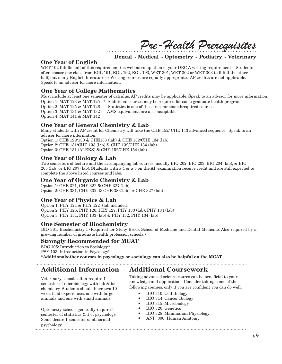*Pre-Health Prerequisites*

Dental ~ Medical ~ Optometry ~ Podiatry ~ Veterinary

# One Year of English

WRT 102 fulfills half of this requirement (as well as completion of your DEC A writing requirement). Students often choose one class from EGL 191, EGL 192, EGL 193, WRT 301, WRT 302 or WRT 303 to fulfill the other half, but many English literature or Writing courses are equally appropriate. AP credits are not applicable. Speak to an advisor for more information.

#### One Year of College Mathematics

Must include at least one semester of calculus. AP credits may be applicable. Speak to an advisor for more information. Option 1: MAT 123 & MAT 125 \* Additional courses may be required for some graduate health programs. Option 2: MAT 125 & MAT 126 Statistics is one of these recommended/required courses. Option 3: MAT 131 & MAT 132 AMS equivalents are also acceptable. Option 4: MAT 141 & MAT 142

### One Year of General Chemistry & Lab

Many students with AP credit for Chemistry will take the CHE 152/ CHE 143 advanced sequence. Speak to an advisor for more information.

Option 1: CHE 129/130 & CHE133 (lab) & CHE 132/CHE 134 (lab) Option 2: CHE 131/CHE 133 (lab) & CHE 132/CHE 134 (lab)

Option 3: CHE 131 (ALEKS) & CHE 152/CHE 154 (lab)

#### One Year of Biology & Lab

Two semesters of lecture and the accompanying lab courses; usually BIO 202, BIO 203, BIO 204 (lab), & BIO 205 (lab) or BIO 207 (lab). Students with a 4 or a 5 on the AP examination receive credit and are still expected to complete the above listed courses and labs.

#### One Year of Organic Chemistry & Lab

Option 1: CHE 321, CHE 322 & CHE 327 (lab) Option 2: CHE 331, CHE 332 & CHE 383(lab) or CHE 327 (lab)

#### One Year of Physics & Lab

Option 1: PHY 121 & PHY 122 (lab included) Option 2: PHY 125, PHY 126, PHY 127, PHY 133 (lab), PHY 134 (lab) Option 3: PHY 131, PHY 133 (lab) & PHY 132, PHY 134 (lab)

#### One Semester of Biochemistry

BIO 361: Biochemistry I (Required for Stony Brook School of Medicine and Dental Medicine. Also required by a growing number of graduate health profession schools.)

#### Strongly Recommended for MCAT

SOC 105: Introduction to Sociology\* PSY 103: Introduction to Psycology\*

\*Additional/other courses in psycology or sociology can also be helpful on the MCAT

# Additional Information Additional Coursework

Veterinary schools often require 1 semester of microbiology with lab & biochemistry. Students should have two 10 week field experiences: one with large animals and one with small animals.

Optometry schools generally require 1 semester of statistics & 1 of psychology. Some desire 1 semester of abnormal psychology. 

Taking advanced science coures can be beneficial to your knowledge and application. Consider taking some of the following courses, only if you are confident you can do well.

- BIO 310: Cell Biology
- BIO 314: Cancer Biology<br>• BIO 315: Microbiology
- BIO 315: Microbiology
- • BIO 320: Genetics
- BIO 328: Mammalian Physiology
- • ANP: 300: Human Anatomy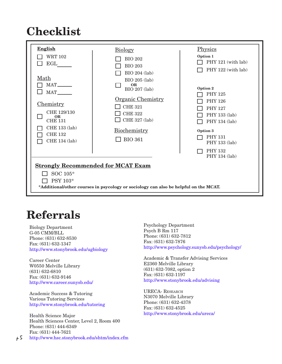# Checklist



# Referrals

Biology Department G-05 CMM/BLL Phone: (631) 632-8530 Fax: (631) 632-1347 http://www.stonybrook.edu/ugbiology

Career Center W0550 Melville Library (631) 632-6810 Fax: (631) 632-9146 http://www.career.sunysb.edu/

Academic Success & Tutoring Various Tutoring Services http://www.stonybrook.edu/tutoring

Health Science Major Health Sciences Center, Level 2, Room 400 Phone: (631) 444-6349 Fax: (631) 444-7621  $\upmu$  5 http://www.hsc.stonybrook.edu/shtm/index.cfm

Psychology Department Psych B Rm 117 Phone: (631) 632-7812 Fax: (631) 632-7876 http://www.psychology.sunysb.edu/psychology/

Academic & Transfer Advising Services E2360 Melville Library (631) 632-7082, option 2 Fax: (631) 632-1197 http://www.stonybrook.edu/advising

URECA- Research N3070 Melville Library Phone: (631) 632-4378 Fax: (631) 632-4525 http://www.stonybrook.edu/ureca/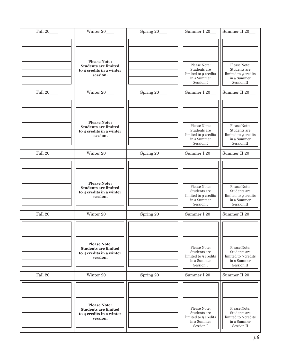| Fall 20_    | Winter 20____                                                                              | Spring 20     | Summer I 20                                                                      | Summer II 20                                                                      |
|-------------|--------------------------------------------------------------------------------------------|---------------|----------------------------------------------------------------------------------|-----------------------------------------------------------------------------------|
|             | <b>Please Note:</b><br><b>Students are limited</b><br>to 4 credits in a winter<br>session. |               | Please Note:<br>Students are<br>limited to 9 credits<br>in a Summer<br>Session I | Please Note:<br>Students are<br>limited to 9 credits<br>in a Summer<br>Session II |
| Fall 20     | Winter 20                                                                                  | Spring 20___  | Summer I 20__                                                                    | Summer II 20                                                                      |
|             | <b>Please Note:</b><br><b>Students are limited</b><br>to 4 credits in a winter<br>session. |               | Please Note:<br>Students are<br>limited to 9 credits<br>in a Summer<br>Session I | Please Note:<br>Students are<br>limited to 9 credits<br>in a Summer<br>Session II |
| Fall 20____ | Winter 20____                                                                              | Spring 20___  | Summer I 20__                                                                    | Summer II 20_                                                                     |
|             | <b>Please Note:</b><br><b>Students are limited</b><br>to 4 credits in a winter<br>session. |               | Please Note:<br>Students are<br>limited to 9 credits<br>in a Summer<br>Session I | Please Note:<br>Students are<br>limited to 9 credits<br>in a Summer<br>Session II |
| Fall 20____ | Winter 20                                                                                  | Spring 20____ | Summer I 20__                                                                    | Summer II 20                                                                      |
|             | <b>Please Note:</b><br><b>Students are limited</b><br>to 4 credits in a winter<br>session. |               | Please Note:<br>Students are<br>limited to 9 credits<br>in a Summer<br>Session I | Please Note:<br>Students are<br>limited to 9 credits<br>in a Summer<br>Session II |
| Fall 20     | Winter 20____                                                                              | Spring 20___  | Summer I 20__                                                                    | Summer II 20__                                                                    |
|             | <b>Please Note:</b><br><b>Students are limited</b><br>to 4 credits in a winter<br>session. |               | Please Note:<br>Students are<br>limited to 9 credits<br>in a Summer<br>Session I | Please Note:<br>Students are<br>limited to 9 credits<br>in a Summer<br>Session II |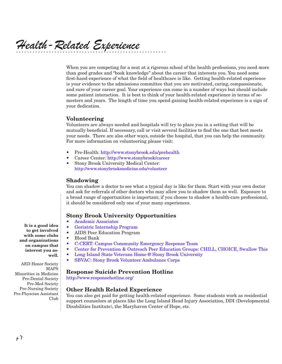*Health-Related Experience*

When you are competing for a seat at a rigorous school of the health professions, you need more than good grades and "book knowledge" about the career that interests you. You need some first-hand experience of what the field of healthcare is like. Getting health-related experience is your evidence to the admissions committee that you are motivated, caring, compassionate, and sure of your career goal. Your experience can come in a number of ways but should include some patient interaction. It is best to think of your health-related experience in terms of semesters and years. The length of time you spend gaining health-related experience is a sign of your dedication.

#### Volunteering

Volunteers are always needed and hospitals will try to place you in a setting that will be mutually beneficial. If necessary, call or visit several facilities to find the one that best meets your needs. There are also other ways, outside the hospital, that you can help the community. For more information on volunteering please visit:

- • Pre-Health: http://www.stonybrook.edu/prehealth
- • Career Center: http://www.stonybrook/career
- • Stony Brook University Medical Center: http://www.stonybrookmedicine.edu/volunteer

#### Shadowing

You can shadow a doctor to see what a typical day is like for them. Start with your own doctor and ask for referrals of other doctors who may allow you to shadow them as well. Exposure to a broad range of opportunities is important; if you choose to shadow a health-care professional, it should be considered only one of your many experiences.

#### Stony Brook University Opportunities

- Academic Associates
- Geriatric Internship Program
- AIDS Peer Education Program
- **Blood Bank**
- C-CERT: Campus Community Emergency Response Team
- Center for Prevention & Outreach Peer Education Groups: CHILL, CHOICE, Swallow This
- Long Island State Veterans Home @ Stony Brook University
- SBVAC: Stony Brook Volunteer Ambulance Corps

#### Response Suicide Prevention Hotline

http://www.responsehotline.org/

#### Other Health Related Experience

You can also get paid for getting health-related experience. Some students work as residential support counselors at places like the Long Island Head Injury Association, DDI (Developmental Disabilities Institute), the Maryhaven Center of Hope, etc.

It is a good idea to get involved with some clubs and organizations on campus that interest you aswell.

AED Honor Society MAPS Minorities in Medicine Pre-Dental Society Pre-Med Society Pre-Nursing Society Pre-Physcian Assistant Club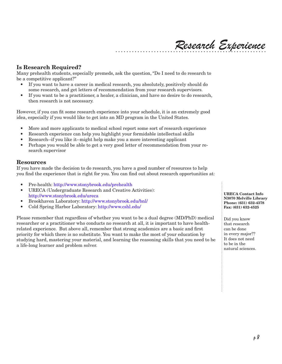### Is Research Required?

Many prehealth students, especially premeds, ask the question, "Do I need to do research to be a competitive applicant?"

- If you want to have a career in medical research, you absolutely, positively should do some research, and get letters of recommendation from your research supervisors.
- If you want to be a practitioner, a healer, a clinician, and have no desire to do research, then research is not necessary.

However, if you can fit some research experience into your schedule, it is an extremely good idea, especially if you would like to get into an MD program in the United States.

- More and more applicants to medical school report some sort of research experience
- • Research experience can help you highlight your formidable intellectual skills
- Research--if you like it--might help make you a more interesting applicant
- Perhaps you would be able to get a very good letter of recommendation from your research supervisor

#### Resources

If you have made the decision to do research, you have a good number of resources to help you find the experience that is right for you. You can find out about research opportunities at:

- Pre-health: http://www.stonybrook.edu/prehealth
- URECA (Undergraduate Research and Creative Activities): http://www.stonybrook.edu/ureca
- • Brookhaven Laboratory: http://www.stonybrook.edu/bnl/
- • Cold Spring Harbor Laboratory: http://www.cshl.edu/

Please remember that regardless of whether you want to be a dual degree (MD/PhD) medical researcher or a practitioner who conducts no research at all, it is important to have healthrelated experience. But above all, remember that strong academics are a basic and first priority for which there is no substitute. You want to make the most of your education by studying hard, mastering your material, and learning the reasoning skills that you need to be a life-long learner and problem solver.

URECA Contact Info N3070 Melville Library Phone: (631) 632-4378 Fax: (631) 632-4525

Did you know that research can be done in every major?? It does not need to be in the natural sciences.

*Research Experience*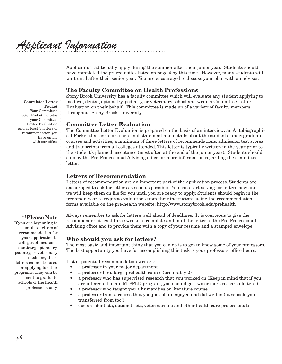# *Applicant Information*

Applicants traditionally apply during the summer after their junior year. Students should have completed the prerequisites listed on page 4 by this time. However, many students will wait until after their senior year. You are encouraged to discuss your plan with an advisor.

#### The Faculty Committee on Health Professions

Stony Brook University has a faculty committee which will evaluate any student applying to medical, dental, optometry, podiatry, or veterinary school and write a Committee Letter Evaluation on their behalf. This committee is made up of a variety of faculty members throughout Stony Brook University.

#### Committee Letter Evaluation

The Committee Letter Evaluation is prepared on the basis of an interview; an Autobiographical Packet that asks for a personal statement and details about the student's undergraduate courses and activities; a minimum of three letters of recommendations, admission test scores and transcripts from all colleges attended. This letter is typically written in the year prior to the student's planned acceptance (most often at the end of the junior year). Students should stop by the Pre-Professional Advising office for more information regarding the committee letter.

#### Letters of Recommendation

Letters of recommendation are an important part of the application process. Students are encouraged to ask for letters as soon as possible. You can start asking for letters now and we will keep them on file for you until you are ready to apply. Students should begin in the freshman year to request evaluations from their instructors, using the recommendation forms available on the pre-health website: http://www.stonybrook.edu/prehealth

\*\*Please Note

If you are beginning to accumulate letters of recommendation for your application to colleges of medicine, dentistry, optometry, podiatry, or veterinary medicine, these letters cannot be used for applying to other programs. They can be sent to graduate schools of the health professions only.

Always remember to ask for letters well ahead of deadlines. It is courteous to give the recommender at least three weeks to complete and mail the letter to the Pre-Professional Advising office and to provide them with a copy of your resume and a stamped envelope.

#### Who should you ask for letters?

The most basic and important thing that you can do is to get to know some of your professors. The best opportunity you have for accomplishing this task is your professors' office hours.

List of potential recommendation writers:

- a professor in your major department
- a professor for a large prehealth course (preferably 2)
- a professor who has supervised research that you worked on (Keep in mind that if you are interested in an MD/PhD program, you should get two or more research letters.)
- a professor who taught you a humanities or literature course
- a professor from a course that you just plain enjoyed and did well in (at schools you transferred from too!)
- • doctors, dentists, optometrists, veterinarians and other health care professionals

Committee Letter Packet Your Committee Letter Packet includes your Committee Letter Evaluation and at least 3 letters of recommendation you have on file with our office.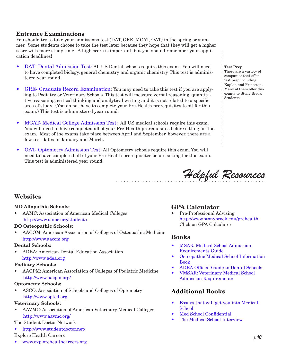#### Entrance Examinations

You should try to take your admissions test (DAT, GRE, MCAT, OAT) in the spring or summer. Some students choose to take the test later because they hope that they will get a higher score with more study time. A high score is important, but you should remember your application deadlines!

- DAT- Dental Admission Test: All US Dental schools require this exam. You will need to have completed biology, general chemistry and organic chemistry. This test is administered year round.
- GRE- Graduate Record Examination: You may need to take this test if you are applying to Podiatry or Veterinary Schools. This test will measure verbal reasoning, quantitative reasoning, critical thinking and analytical writing and it is not related to a specific area of study. (You do not have to complete your Pre-Health prerequisites to sit for this exam.) This test is administered year round.
- MCAT- Medical College Admission Test: All US medical schools require this exam. You will need to have completed all of your Pre-Health prerequisites before sitting for the exam. Most of the exams take place between April and September, however, there are a few test dates in January and March.
- **OAT- Optometry Admission Test: All Optometry schools require this exam. You will** need to have completed all of your Pre-Health prerequisites before sitting for this exam. This test is administered year round.

#### Test Prep

There are a variety of companies that offer test prep including Kaplan and Princeton. Many of them offer discounts to Stony Brook Students.



#### **Websites**

#### MD Allopathic Schools:

AAMC: Association of American Medical Colleges http://www.aamc.org/students

#### DO Osteopathic Schools:

AACOM: American Association of Colleges of Osteopathic Medicine http://www.aacom.org

#### Dental Schools:

ADEA: American Dental Education Association http://www.adea.org

#### Podiatry Schools:

• AACPM: American Association of Colleges of Podiatric Medicine http://www.aacpm.org/

#### Optometry Schools:

ASCO: Association of Schools and Colleges of Optometry http://www.opted.org

#### Veterinary Schools:

• AAVMC: Association of American Veterinary Medical Colleges http://www.aavmc.org/

#### The Student Doctor Network

• http://www.studentdoctor.net/

#### Explore Health Careers

• www.explorehealthcareers.org

## GPA Calculator

Pre-Professional Advising http://www.stonybrook.edu/prehealth Click on GPA Calculator

# Books

- **MSAR: Medical School Admission** Requirements Guide
- • Osteopathic Medical School Information Book
- ADEA Official Guide to Dental Schools
- **VMSAR: Veterinary Medical School** Admission Requirements

# Additional Books

- • Essays that will get you into Medical **School**
- Med School Confidential
- The Medical School Interview